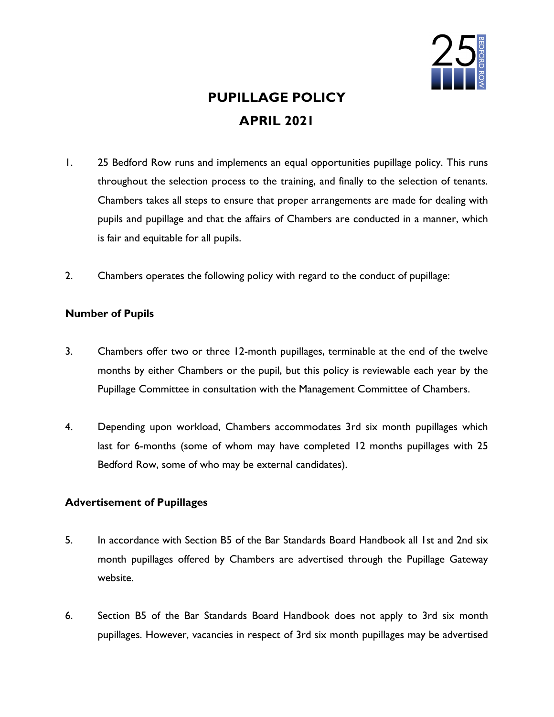

# PUPILLAGE POLICY APRIL 2021

- 1. 25 Bedford Row runs and implements an equal opportunities pupillage policy. This runs throughout the selection process to the training, and finally to the selection of tenants. Chambers takes all steps to ensure that proper arrangements are made for dealing with pupils and pupillage and that the affairs of Chambers are conducted in a manner, which is fair and equitable for all pupils.
- 2. Chambers operates the following policy with regard to the conduct of pupillage:

# Number of Pupils

- 3. Chambers offer two or three 12-month pupillages, terminable at the end of the twelve months by either Chambers or the pupil, but this policy is reviewable each year by the Pupillage Committee in consultation with the Management Committee of Chambers.
- 4. Depending upon workload, Chambers accommodates 3rd six month pupillages which last for 6-months (some of whom may have completed 12 months pupillages with 25 Bedford Row, some of who may be external candidates).

# Advertisement of Pupillages

- 5. In accordance with Section B5 of the Bar Standards Board Handbook all 1st and 2nd six month pupillages offered by Chambers are advertised through the Pupillage Gateway website.
- 6. Section B5 of the Bar Standards Board Handbook does not apply to 3rd six month pupillages. However, vacancies in respect of 3rd six month pupillages may be advertised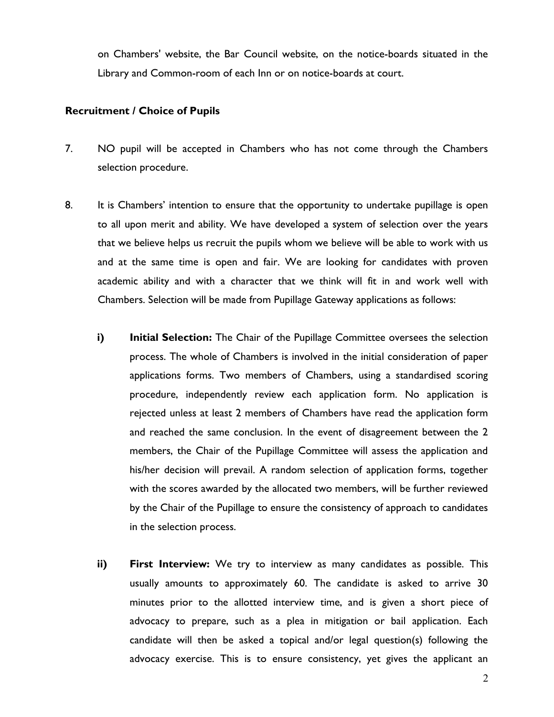on Chambers' website, the Bar Council website, on the notice-boards situated in the Library and Common-room of each Inn or on notice-boards at court.

## Recruitment / Choice of Pupils

- 7. NO pupil will be accepted in Chambers who has not come through the Chambers selection procedure.
- 8. It is Chambers' intention to ensure that the opportunity to undertake pupillage is open to all upon merit and ability. We have developed a system of selection over the years that we believe helps us recruit the pupils whom we believe will be able to work with us and at the same time is open and fair. We are looking for candidates with proven academic ability and with a character that we think will fit in and work well with Chambers. Selection will be made from Pupillage Gateway applications as follows:
	- i) Initial Selection: The Chair of the Pupillage Committee oversees the selection process. The whole of Chambers is involved in the initial consideration of paper applications forms. Two members of Chambers, using a standardised scoring procedure, independently review each application form. No application is rejected unless at least 2 members of Chambers have read the application form and reached the same conclusion. In the event of disagreement between the 2 members, the Chair of the Pupillage Committee will assess the application and his/her decision will prevail. A random selection of application forms, together with the scores awarded by the allocated two members, will be further reviewed by the Chair of the Pupillage to ensure the consistency of approach to candidates in the selection process.
	- ii) First Interview: We try to interview as many candidates as possible. This usually amounts to approximately 60. The candidate is asked to arrive 30 minutes prior to the allotted interview time, and is given a short piece of advocacy to prepare, such as a plea in mitigation or bail application. Each candidate will then be asked a topical and/or legal question(s) following the advocacy exercise. This is to ensure consistency, yet gives the applicant an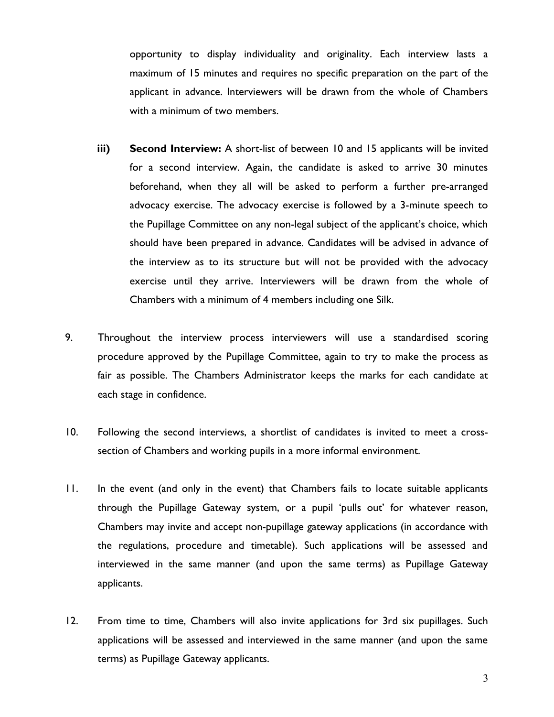opportunity to display individuality and originality. Each interview lasts a maximum of 15 minutes and requires no specific preparation on the part of the applicant in advance. Interviewers will be drawn from the whole of Chambers with a minimum of two members.

- iii) Second Interview: A short-list of between 10 and 15 applicants will be invited for a second interview. Again, the candidate is asked to arrive 30 minutes beforehand, when they all will be asked to perform a further pre-arranged advocacy exercise. The advocacy exercise is followed by a 3-minute speech to the Pupillage Committee on any non-legal subject of the applicant's choice, which should have been prepared in advance. Candidates will be advised in advance of the interview as to its structure but will not be provided with the advocacy exercise until they arrive. Interviewers will be drawn from the whole of Chambers with a minimum of 4 members including one Silk.
- 9. Throughout the interview process interviewers will use a standardised scoring procedure approved by the Pupillage Committee, again to try to make the process as fair as possible. The Chambers Administrator keeps the marks for each candidate at each stage in confidence.
- 10. Following the second interviews, a shortlist of candidates is invited to meet a crosssection of Chambers and working pupils in a more informal environment.
- 11. In the event (and only in the event) that Chambers fails to locate suitable applicants through the Pupillage Gateway system, or a pupil 'pulls out' for whatever reason, Chambers may invite and accept non-pupillage gateway applications (in accordance with the regulations, procedure and timetable). Such applications will be assessed and interviewed in the same manner (and upon the same terms) as Pupillage Gateway applicants.
- 12. From time to time, Chambers will also invite applications for 3rd six pupillages. Such applications will be assessed and interviewed in the same manner (and upon the same terms) as Pupillage Gateway applicants.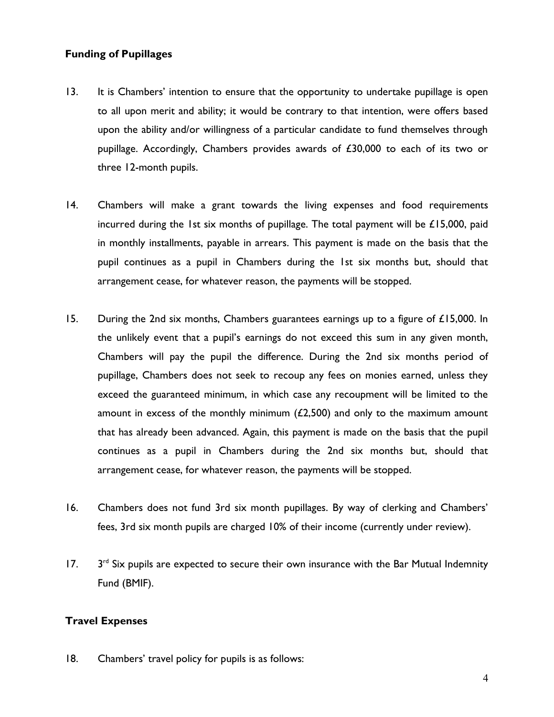## Funding of Pupillages

- 13. It is Chambers' intention to ensure that the opportunity to undertake pupillage is open to all upon merit and ability; it would be contrary to that intention, were offers based upon the ability and/or willingness of a particular candidate to fund themselves through pupillage. Accordingly, Chambers provides awards of £30,000 to each of its two or three 12-month pupils.
- 14. Chambers will make a grant towards the living expenses and food requirements incurred during the 1st six months of pupillage. The total payment will be  $£15,000$ , paid in monthly installments, payable in arrears. This payment is made on the basis that the pupil continues as a pupil in Chambers during the 1st six months but, should that arrangement cease, for whatever reason, the payments will be stopped.
- 15. During the 2nd six months, Chambers guarantees earnings up to a figure of £15,000. In the unlikely event that a pupil's earnings do not exceed this sum in any given month, Chambers will pay the pupil the difference. During the 2nd six months period of pupillage, Chambers does not seek to recoup any fees on monies earned, unless they exceed the guaranteed minimum, in which case any recoupment will be limited to the amount in excess of the monthly minimum  $(2,500)$  and only to the maximum amount that has already been advanced. Again, this payment is made on the basis that the pupil continues as a pupil in Chambers during the 2nd six months but, should that arrangement cease, for whatever reason, the payments will be stopped.
- 16. Chambers does not fund 3rd six month pupillages. By way of clerking and Chambers' fees, 3rd six month pupils are charged 10% of their income (currently under review).
- $17.$  $3<sup>rd</sup>$  Six pupils are expected to secure their own insurance with the Bar Mutual Indemnity Fund (BMIF).

# Travel Expenses

18. Chambers' travel policy for pupils is as follows: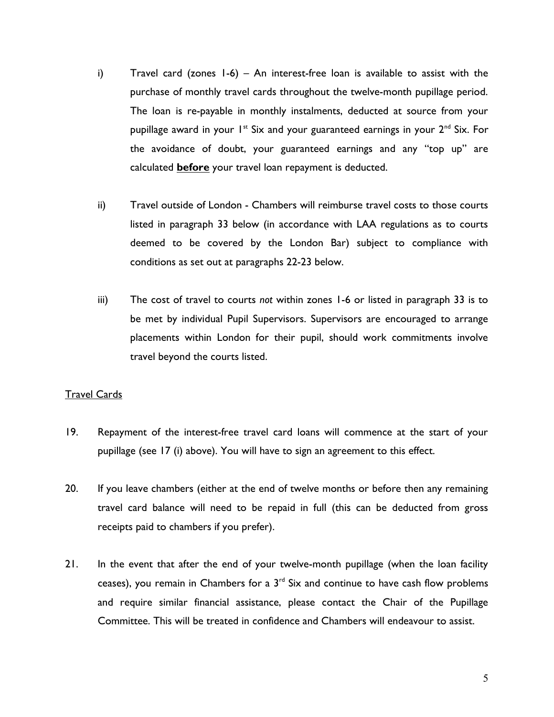- i) Travel card (zones 1-6) An interest-free loan is available to assist with the purchase of monthly travel cards throughout the twelve-month pupillage period. The loan is re-payable in monthly instalments, deducted at source from your pupillage award in your  $1^{st}$  Six and your guaranteed earnings in your  $2^{nd}$  Six. For the avoidance of doubt, your guaranteed earnings and any "top up" are calculated **before** your travel loan repayment is deducted.
- ii) Travel outside of London Chambers will reimburse travel costs to those courts listed in paragraph 33 below (in accordance with LAA regulations as to courts deemed to be covered by the London Bar) subject to compliance with conditions as set out at paragraphs 22-23 below.
- iii) The cost of travel to courts not within zones 1-6 or listed in paragraph 33 is to be met by individual Pupil Supervisors. Supervisors are encouraged to arrange placements within London for their pupil, should work commitments involve travel beyond the courts listed.

## Travel Cards

- 19. Repayment of the interest-free travel card loans will commence at the start of your pupillage (see 17 (i) above). You will have to sign an agreement to this effect.
- 20. If you leave chambers (either at the end of twelve months or before then any remaining travel card balance will need to be repaid in full (this can be deducted from gross receipts paid to chambers if you prefer).
- 21. In the event that after the end of your twelve-month pupillage (when the loan facility ceases), you remain in Chambers for a  $3<sup>rd</sup>$  Six and continue to have cash flow problems and require similar financial assistance, please contact the Chair of the Pupillage Committee. This will be treated in confidence and Chambers will endeavour to assist.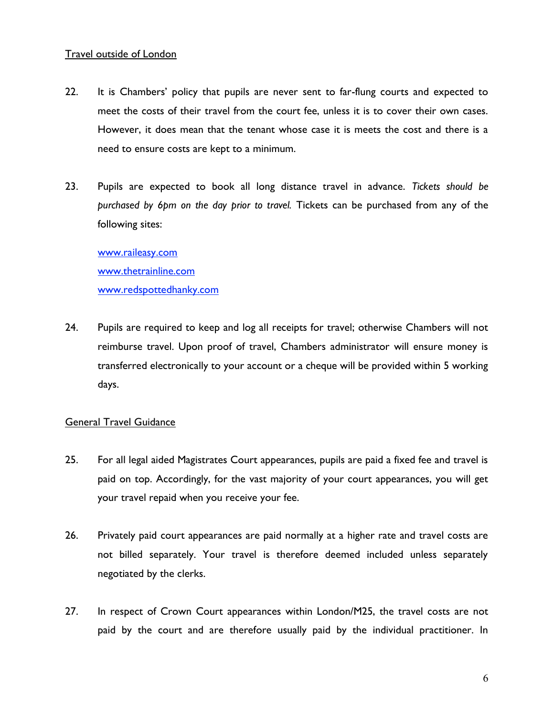## Travel outside of London

- 22. It is Chambers' policy that pupils are never sent to far-flung courts and expected to meet the costs of their travel from the court fee, unless it is to cover their own cases. However, it does mean that the tenant whose case it is meets the cost and there is a need to ensure costs are kept to a minimum.
- 23. Pupils are expected to book all long distance travel in advance. Tickets should be purchased by 6pm on the day prior to travel. Tickets can be purchased from any of the following sites:

www.raileasy.com www.thetrainline.com www.redspottedhanky.com

24. Pupils are required to keep and log all receipts for travel; otherwise Chambers will not reimburse travel. Upon proof of travel, Chambers administrator will ensure money is transferred electronically to your account or a cheque will be provided within 5 working days.

# General Travel Guidance

- 25. For all legal aided Magistrates Court appearances, pupils are paid a fixed fee and travel is paid on top. Accordingly, for the vast majority of your court appearances, you will get your travel repaid when you receive your fee.
- 26. Privately paid court appearances are paid normally at a higher rate and travel costs are not billed separately. Your travel is therefore deemed included unless separately negotiated by the clerks.
- 27. In respect of Crown Court appearances within London/M25, the travel costs are not paid by the court and are therefore usually paid by the individual practitioner. In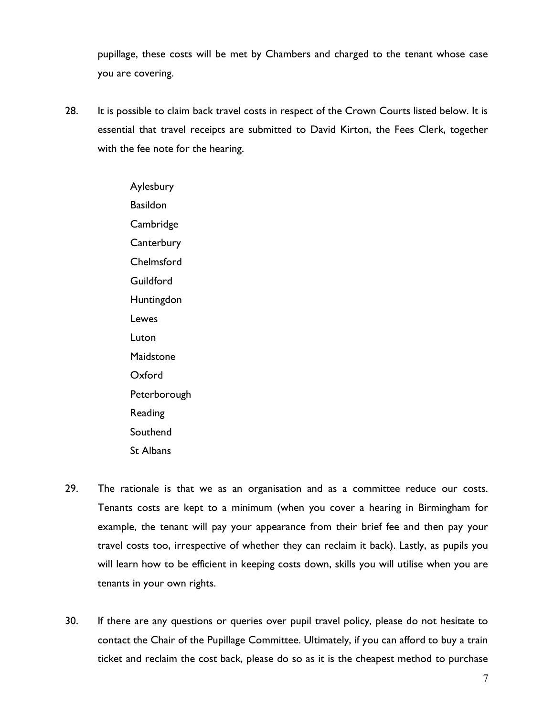pupillage, these costs will be met by Chambers and charged to the tenant whose case you are covering.

28. It is possible to claim back travel costs in respect of the Crown Courts listed below. It is essential that travel receipts are submitted to David Kirton, the Fees Clerk, together with the fee note for the hearing.

> Aylesbury Basildon **Cambridge Canterbury** Chelmsford **Guildford Huntingdon** Lewes Luton **Maidstone** Oxford **Peterborough** Reading Southend St Albans

- 29. The rationale is that we as an organisation and as a committee reduce our costs. Tenants costs are kept to a minimum (when you cover a hearing in Birmingham for example, the tenant will pay your appearance from their brief fee and then pay your travel costs too, irrespective of whether they can reclaim it back). Lastly, as pupils you will learn how to be efficient in keeping costs down, skills you will utilise when you are tenants in your own rights.
- 30. If there are any questions or queries over pupil travel policy, please do not hesitate to contact the Chair of the Pupillage Committee. Ultimately, if you can afford to buy a train ticket and reclaim the cost back, please do so as it is the cheapest method to purchase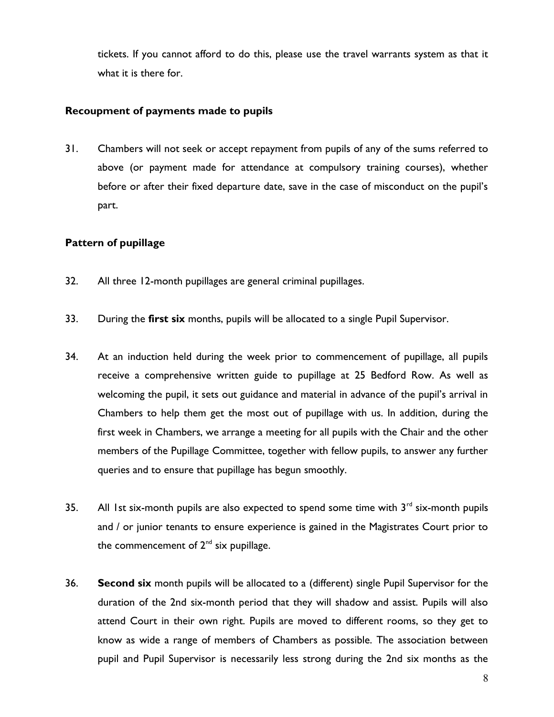tickets. If you cannot afford to do this, please use the travel warrants system as that it what it is there for.

## Recoupment of payments made to pupils

31. Chambers will not seek or accept repayment from pupils of any of the sums referred to above (or payment made for attendance at compulsory training courses), whether before or after their fixed departure date, save in the case of misconduct on the pupil's part.

# Pattern of pupillage

- 32. All three 12-month pupillages are general criminal pupillages.
- 33. During the first six months, pupils will be allocated to a single Pupil Supervisor.
- 34. At an induction held during the week prior to commencement of pupillage, all pupils receive a comprehensive written guide to pupillage at 25 Bedford Row. As well as welcoming the pupil, it sets out guidance and material in advance of the pupil's arrival in Chambers to help them get the most out of pupillage with us. In addition, during the first week in Chambers, we arrange a meeting for all pupils with the Chair and the other members of the Pupillage Committee, together with fellow pupils, to answer any further queries and to ensure that pupillage has begun smoothly.
- 35. All 1st six-month pupils are also expected to spend some time with  $3<sup>rd</sup>$  six-month pupils and / or junior tenants to ensure experience is gained in the Magistrates Court prior to the commencement of  $2^{nd}$  six pupillage.
- 36. Second six month pupils will be allocated to a (different) single Pupil Supervisor for the duration of the 2nd six-month period that they will shadow and assist. Pupils will also attend Court in their own right. Pupils are moved to different rooms, so they get to know as wide a range of members of Chambers as possible. The association between pupil and Pupil Supervisor is necessarily less strong during the 2nd six months as the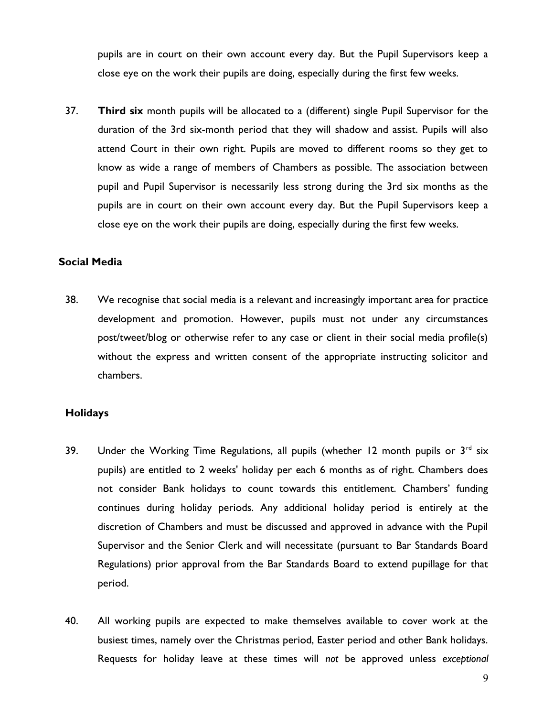pupils are in court on their own account every day. But the Pupil Supervisors keep a close eye on the work their pupils are doing, especially during the first few weeks.

37. Third six month pupils will be allocated to a (different) single Pupil Supervisor for the duration of the 3rd six-month period that they will shadow and assist. Pupils will also attend Court in their own right. Pupils are moved to different rooms so they get to know as wide a range of members of Chambers as possible. The association between pupil and Pupil Supervisor is necessarily less strong during the 3rd six months as the pupils are in court on their own account every day. But the Pupil Supervisors keep a close eye on the work their pupils are doing, especially during the first few weeks.

#### Social Media

38. We recognise that social media is a relevant and increasingly important area for practice development and promotion. However, pupils must not under any circumstances post/tweet/blog or otherwise refer to any case or client in their social media profile(s) without the express and written consent of the appropriate instructing solicitor and chambers.

#### **Holidays**

- 39. Under the Working Time Regulations, all pupils (whether 12 month pupils or  $3^{rd}$  six pupils) are entitled to 2 weeks' holiday per each 6 months as of right. Chambers does not consider Bank holidays to count towards this entitlement. Chambers' funding continues during holiday periods. Any additional holiday period is entirely at the discretion of Chambers and must be discussed and approved in advance with the Pupil Supervisor and the Senior Clerk and will necessitate (pursuant to Bar Standards Board Regulations) prior approval from the Bar Standards Board to extend pupillage for that period.
- 40. All working pupils are expected to make themselves available to cover work at the busiest times, namely over the Christmas period, Easter period and other Bank holidays. Requests for holiday leave at these times will not be approved unless exceptional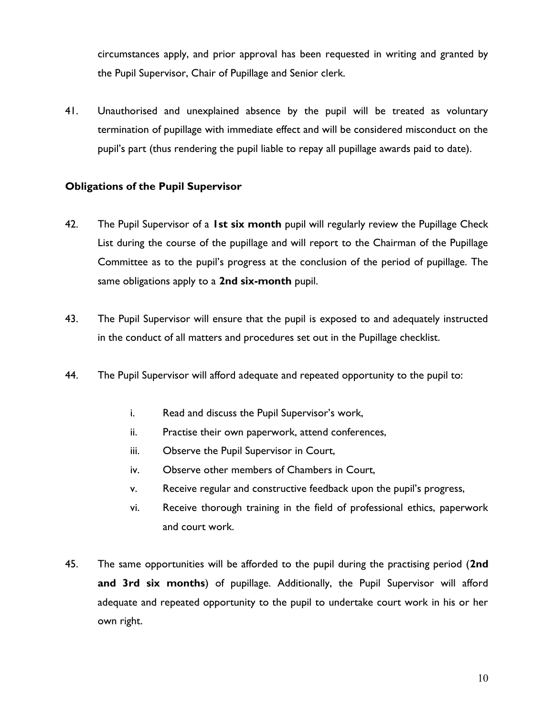circumstances apply, and prior approval has been requested in writing and granted by the Pupil Supervisor, Chair of Pupillage and Senior clerk.

41. Unauthorised and unexplained absence by the pupil will be treated as voluntary termination of pupillage with immediate effect and will be considered misconduct on the pupil's part (thus rendering the pupil liable to repay all pupillage awards paid to date).

# Obligations of the Pupil Supervisor

- 42. The Pupil Supervisor of a 1st six month pupil will regularly review the Pupillage Check List during the course of the pupillage and will report to the Chairman of the Pupillage Committee as to the pupil's progress at the conclusion of the period of pupillage. The same obligations apply to a 2nd six-month pupil.
- 43. The Pupil Supervisor will ensure that the pupil is exposed to and adequately instructed in the conduct of all matters and procedures set out in the Pupillage checklist.
- 44. The Pupil Supervisor will afford adequate and repeated opportunity to the pupil to:
	- i. Read and discuss the Pupil Supervisor's work,
	- ii. Practise their own paperwork, attend conferences,
	- iii. Observe the Pupil Supervisor in Court,
	- iv. Observe other members of Chambers in Court,
	- v. Receive regular and constructive feedback upon the pupil's progress,
	- vi. Receive thorough training in the field of professional ethics, paperwork and court work.
- 45. The same opportunities will be afforded to the pupil during the practising period (2nd and 3rd six months) of pupillage. Additionally, the Pupil Supervisor will afford adequate and repeated opportunity to the pupil to undertake court work in his or her own right.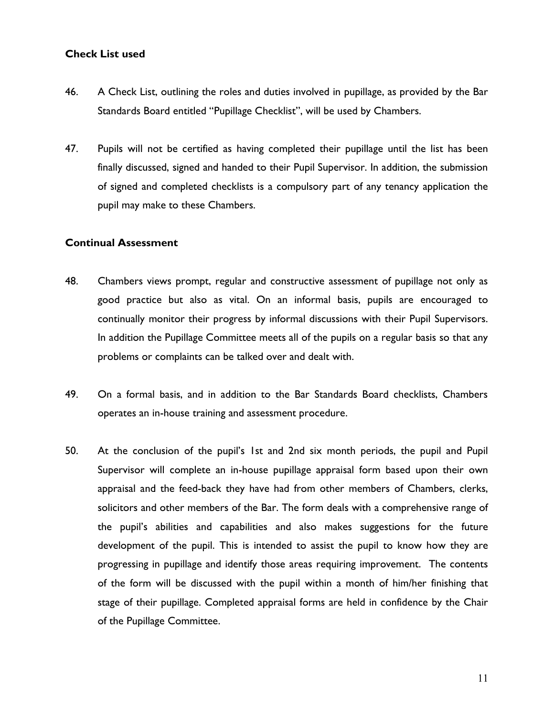## Check List used

- 46. A Check List, outlining the roles and duties involved in pupillage, as provided by the Bar Standards Board entitled "Pupillage Checklist", will be used by Chambers.
- 47. Pupils will not be certified as having completed their pupillage until the list has been finally discussed, signed and handed to their Pupil Supervisor. In addition, the submission of signed and completed checklists is a compulsory part of any tenancy application the pupil may make to these Chambers.

## Continual Assessment

- 48. Chambers views prompt, regular and constructive assessment of pupillage not only as good practice but also as vital. On an informal basis, pupils are encouraged to continually monitor their progress by informal discussions with their Pupil Supervisors. In addition the Pupillage Committee meets all of the pupils on a regular basis so that any problems or complaints can be talked over and dealt with.
- 49. On a formal basis, and in addition to the Bar Standards Board checklists, Chambers operates an in-house training and assessment procedure.
- 50. At the conclusion of the pupil's 1st and 2nd six month periods, the pupil and Pupil Supervisor will complete an in-house pupillage appraisal form based upon their own appraisal and the feed-back they have had from other members of Chambers, clerks, solicitors and other members of the Bar. The form deals with a comprehensive range of the pupil's abilities and capabilities and also makes suggestions for the future development of the pupil. This is intended to assist the pupil to know how they are progressing in pupillage and identify those areas requiring improvement. The contents of the form will be discussed with the pupil within a month of him/her finishing that stage of their pupillage. Completed appraisal forms are held in confidence by the Chair of the Pupillage Committee.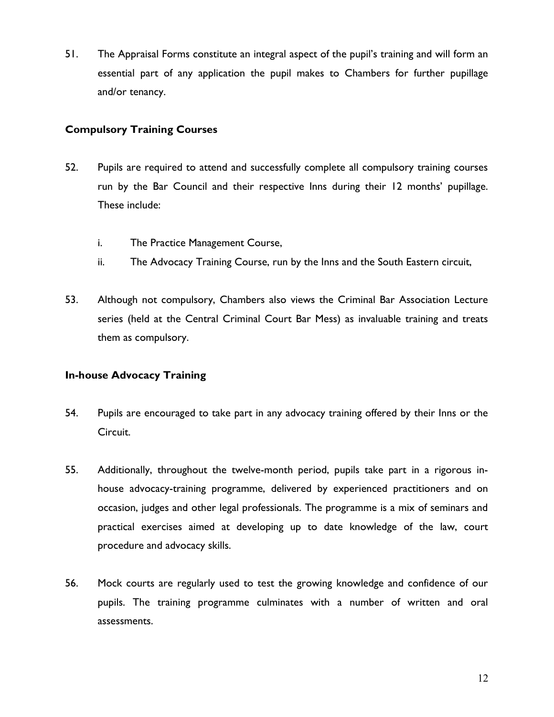51. The Appraisal Forms constitute an integral aspect of the pupil's training and will form an essential part of any application the pupil makes to Chambers for further pupillage and/or tenancy.

# Compulsory Training Courses

- 52. Pupils are required to attend and successfully complete all compulsory training courses run by the Bar Council and their respective Inns during their 12 months' pupillage. These include:
	- i. The Practice Management Course,
	- ii. The Advocacy Training Course, run by the Inns and the South Eastern circuit,
- 53. Although not compulsory, Chambers also views the Criminal Bar Association Lecture series (held at the Central Criminal Court Bar Mess) as invaluable training and treats them as compulsory.

# In-house Advocacy Training

- 54. Pupils are encouraged to take part in any advocacy training offered by their Inns or the Circuit.
- 55. Additionally, throughout the twelve-month period, pupils take part in a rigorous inhouse advocacy-training programme, delivered by experienced practitioners and on occasion, judges and other legal professionals. The programme is a mix of seminars and practical exercises aimed at developing up to date knowledge of the law, court procedure and advocacy skills.
- 56. Mock courts are regularly used to test the growing knowledge and confidence of our pupils. The training programme culminates with a number of written and oral assessments.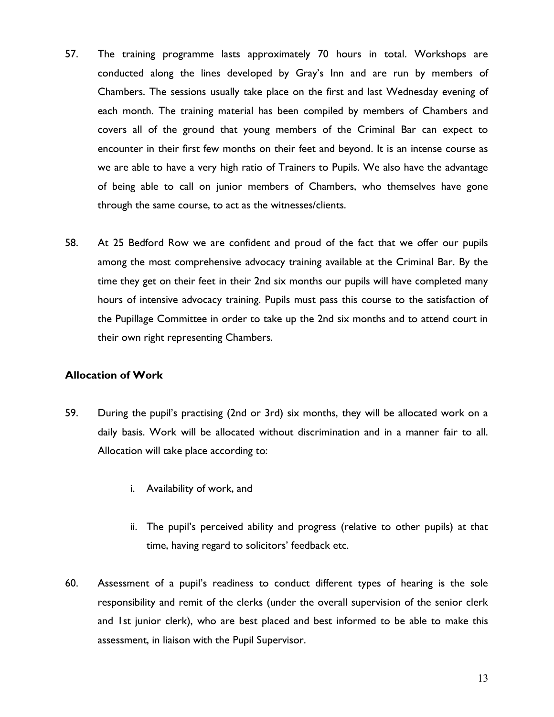- 57. The training programme lasts approximately 70 hours in total. Workshops are conducted along the lines developed by Gray's Inn and are run by members of Chambers. The sessions usually take place on the first and last Wednesday evening of each month. The training material has been compiled by members of Chambers and covers all of the ground that young members of the Criminal Bar can expect to encounter in their first few months on their feet and beyond. It is an intense course as we are able to have a very high ratio of Trainers to Pupils. We also have the advantage of being able to call on junior members of Chambers, who themselves have gone through the same course, to act as the witnesses/clients.
- 58. At 25 Bedford Row we are confident and proud of the fact that we offer our pupils among the most comprehensive advocacy training available at the Criminal Bar. By the time they get on their feet in their 2nd six months our pupils will have completed many hours of intensive advocacy training. Pupils must pass this course to the satisfaction of the Pupillage Committee in order to take up the 2nd six months and to attend court in their own right representing Chambers.

# Allocation of Work

- 59. During the pupil's practising (2nd or 3rd) six months, they will be allocated work on a daily basis. Work will be allocated without discrimination and in a manner fair to all. Allocation will take place according to:
	- i. Availability of work, and
	- ii. The pupil's perceived ability and progress (relative to other pupils) at that time, having regard to solicitors' feedback etc.
- 60. Assessment of a pupil's readiness to conduct different types of hearing is the sole responsibility and remit of the clerks (under the overall supervision of the senior clerk and 1st junior clerk), who are best placed and best informed to be able to make this assessment, in liaison with the Pupil Supervisor.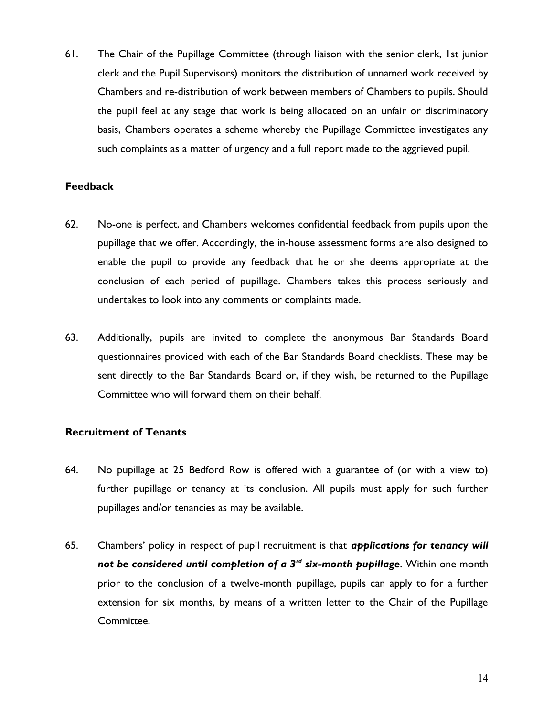61. The Chair of the Pupillage Committee (through liaison with the senior clerk, 1st junior clerk and the Pupil Supervisors) monitors the distribution of unnamed work received by Chambers and re-distribution of work between members of Chambers to pupils. Should the pupil feel at any stage that work is being allocated on an unfair or discriminatory basis, Chambers operates a scheme whereby the Pupillage Committee investigates any such complaints as a matter of urgency and a full report made to the aggrieved pupil.

# Feedback

- 62. No-one is perfect, and Chambers welcomes confidential feedback from pupils upon the pupillage that we offer. Accordingly, the in-house assessment forms are also designed to enable the pupil to provide any feedback that he or she deems appropriate at the conclusion of each period of pupillage. Chambers takes this process seriously and undertakes to look into any comments or complaints made.
- 63. Additionally, pupils are invited to complete the anonymous Bar Standards Board questionnaires provided with each of the Bar Standards Board checklists. These may be sent directly to the Bar Standards Board or, if they wish, be returned to the Pupillage Committee who will forward them on their behalf.

## Recruitment of Tenants

- 64. No pupillage at 25 Bedford Row is offered with a guarantee of (or with a view to) further pupillage or tenancy at its conclusion. All pupils must apply for such further pupillages and/or tenancies as may be available.
- 65. Chambers' policy in respect of pupil recruitment is that *applications for tenancy will* not be considered until completion of a  $3<sup>rd</sup>$  six-month pupillage. Within one month prior to the conclusion of a twelve-month pupillage, pupils can apply to for a further extension for six months, by means of a written letter to the Chair of the Pupillage Committee.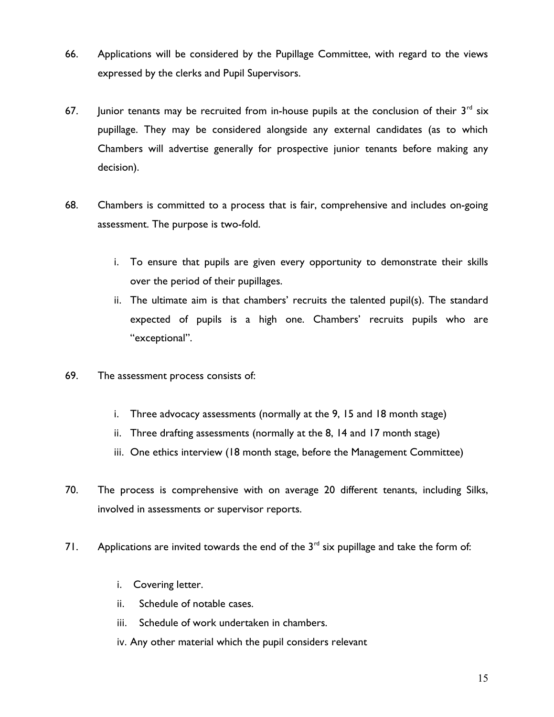- 66. Applications will be considered by the Pupillage Committee, with regard to the views expressed by the clerks and Pupil Supervisors.
- 67. Junior tenants may be recruited from in-house pupils at the conclusion of their  $3<sup>rd</sup>$  six pupillage. They may be considered alongside any external candidates (as to which Chambers will advertise generally for prospective junior tenants before making any decision).
- 68. Chambers is committed to a process that is fair, comprehensive and includes on-going assessment. The purpose is two-fold.
	- i. To ensure that pupils are given every opportunity to demonstrate their skills over the period of their pupillages.
	- ii. The ultimate aim is that chambers' recruits the talented pupil(s). The standard expected of pupils is a high one. Chambers' recruits pupils who are "exceptional".
- 69. The assessment process consists of:
	- i. Three advocacy assessments (normally at the 9, 15 and 18 month stage)
	- ii. Three drafting assessments (normally at the 8, 14 and 17 month stage)
	- iii. One ethics interview (18 month stage, before the Management Committee)
- 70. The process is comprehensive with on average 20 different tenants, including Silks, involved in assessments or supervisor reports.
- 71. Applications are invited towards the end of the  $3<sup>rd</sup>$  six pupillage and take the form of:
	- i. Covering letter.
	- ii. Schedule of notable cases.
	- iii. Schedule of work undertaken in chambers.
	- iv. Any other material which the pupil considers relevant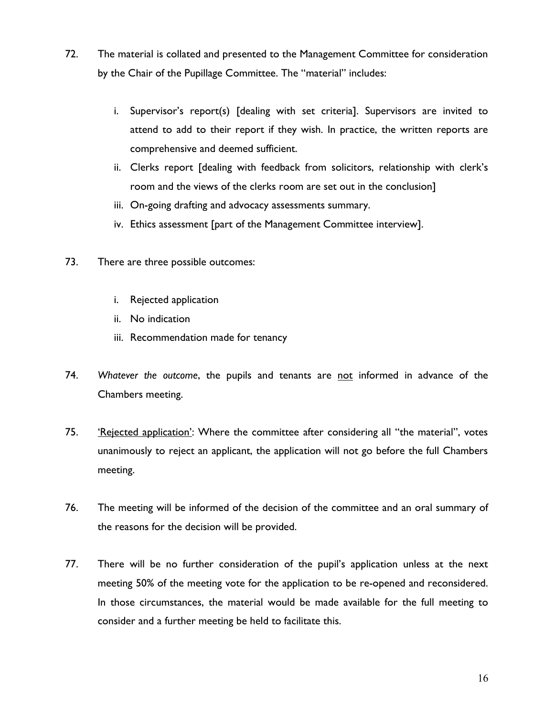- 72. The material is collated and presented to the Management Committee for consideration by the Chair of the Pupillage Committee. The "material" includes:
	- i. Supervisor's report(s) [dealing with set criteria]. Supervisors are invited to attend to add to their report if they wish. In practice, the written reports are comprehensive and deemed sufficient.
	- ii. Clerks report [dealing with feedback from solicitors, relationship with clerk's room and the views of the clerks room are set out in the conclusion]
	- iii. On-going drafting and advocacy assessments summary.
	- iv. Ethics assessment [part of the Management Committee interview].
- 73. There are three possible outcomes:
	- i. Rejected application
	- ii. No indication
	- iii. Recommendation made for tenancy
- 74. Whatever the outcome, the pupils and tenants are not informed in advance of the Chambers meeting.
- 75. 'Rejected application': Where the committee after considering all "the material", votes unanimously to reject an applicant, the application will not go before the full Chambers meeting.
- 76. The meeting will be informed of the decision of the committee and an oral summary of the reasons for the decision will be provided.
- 77. There will be no further consideration of the pupil's application unless at the next meeting 50% of the meeting vote for the application to be re-opened and reconsidered. In those circumstances, the material would be made available for the full meeting to consider and a further meeting be held to facilitate this.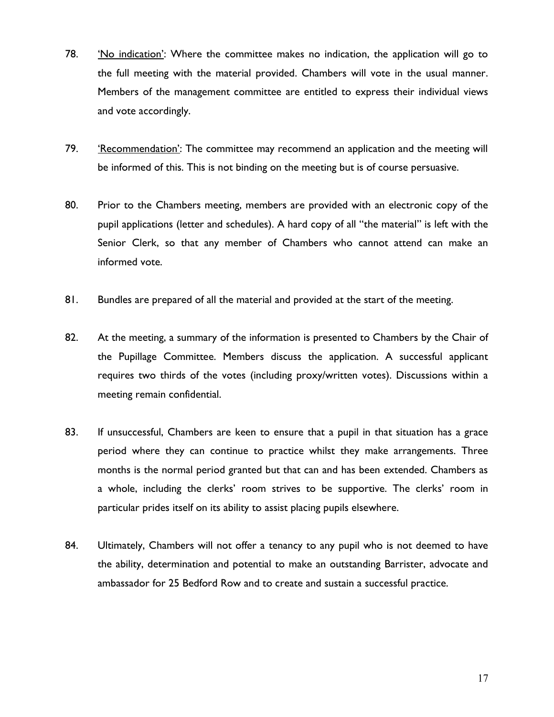- 78. 'No indication': Where the committee makes no indication, the application will go to the full meeting with the material provided. Chambers will vote in the usual manner. Members of the management committee are entitled to express their individual views and vote accordingly.
- 79. 'Recommendation': The committee may recommend an application and the meeting will be informed of this. This is not binding on the meeting but is of course persuasive.
- 80. Prior to the Chambers meeting, members are provided with an electronic copy of the pupil applications (letter and schedules). A hard copy of all "the material" is left with the Senior Clerk, so that any member of Chambers who cannot attend can make an informed vote.
- 81. Bundles are prepared of all the material and provided at the start of the meeting.
- 82. At the meeting, a summary of the information is presented to Chambers by the Chair of the Pupillage Committee. Members discuss the application. A successful applicant requires two thirds of the votes (including proxy/written votes). Discussions within a meeting remain confidential.
- 83. If unsuccessful, Chambers are keen to ensure that a pupil in that situation has a grace period where they can continue to practice whilst they make arrangements. Three months is the normal period granted but that can and has been extended. Chambers as a whole, including the clerks' room strives to be supportive. The clerks' room in particular prides itself on its ability to assist placing pupils elsewhere.
- 84. Ultimately, Chambers will not offer a tenancy to any pupil who is not deemed to have the ability, determination and potential to make an outstanding Barrister, advocate and ambassador for 25 Bedford Row and to create and sustain a successful practice.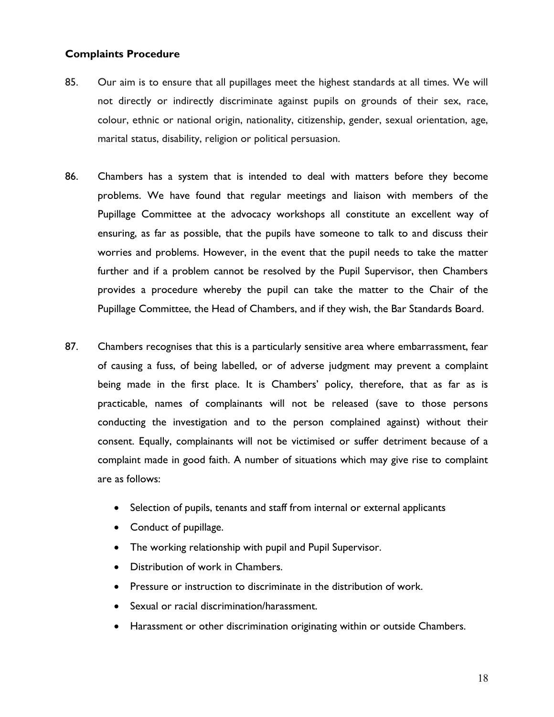## Complaints Procedure

- 85. Our aim is to ensure that all pupillages meet the highest standards at all times. We will not directly or indirectly discriminate against pupils on grounds of their sex, race, colour, ethnic or national origin, nationality, citizenship, gender, sexual orientation, age, marital status, disability, religion or political persuasion.
- 86. Chambers has a system that is intended to deal with matters before they become problems. We have found that regular meetings and liaison with members of the Pupillage Committee at the advocacy workshops all constitute an excellent way of ensuring, as far as possible, that the pupils have someone to talk to and discuss their worries and problems. However, in the event that the pupil needs to take the matter further and if a problem cannot be resolved by the Pupil Supervisor, then Chambers provides a procedure whereby the pupil can take the matter to the Chair of the Pupillage Committee, the Head of Chambers, and if they wish, the Bar Standards Board.
- 87. Chambers recognises that this is a particularly sensitive area where embarrassment, fear of causing a fuss, of being labelled, or of adverse judgment may prevent a complaint being made in the first place. It is Chambers' policy, therefore, that as far as is practicable, names of complainants will not be released (save to those persons conducting the investigation and to the person complained against) without their consent. Equally, complainants will not be victimised or suffer detriment because of a complaint made in good faith. A number of situations which may give rise to complaint are as follows:
	- Selection of pupils, tenants and staff from internal or external applicants
	- Conduct of pupillage.
	- The working relationship with pupil and Pupil Supervisor.
	- Distribution of work in Chambers.
	- Pressure or instruction to discriminate in the distribution of work.
	- Sexual or racial discrimination/harassment.
	- Harassment or other discrimination originating within or outside Chambers.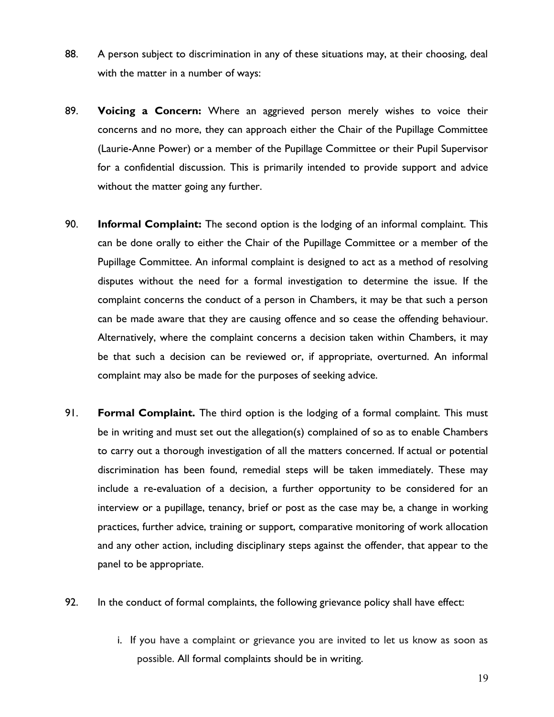- 88. A person subject to discrimination in any of these situations may, at their choosing, deal with the matter in a number of ways:
- 89. Voicing a Concern: Where an aggrieved person merely wishes to voice their concerns and no more, they can approach either the Chair of the Pupillage Committee (Laurie-Anne Power) or a member of the Pupillage Committee or their Pupil Supervisor for a confidential discussion. This is primarily intended to provide support and advice without the matter going any further.
- 90. Informal Complaint: The second option is the lodging of an informal complaint. This can be done orally to either the Chair of the Pupillage Committee or a member of the Pupillage Committee. An informal complaint is designed to act as a method of resolving disputes without the need for a formal investigation to determine the issue. If the complaint concerns the conduct of a person in Chambers, it may be that such a person can be made aware that they are causing offence and so cease the offending behaviour. Alternatively, where the complaint concerns a decision taken within Chambers, it may be that such a decision can be reviewed or, if appropriate, overturned. An informal complaint may also be made for the purposes of seeking advice.
- 91. Formal Complaint. The third option is the lodging of a formal complaint. This must be in writing and must set out the allegation(s) complained of so as to enable Chambers to carry out a thorough investigation of all the matters concerned. If actual or potential discrimination has been found, remedial steps will be taken immediately. These may include a re-evaluation of a decision, a further opportunity to be considered for an interview or a pupillage, tenancy, brief or post as the case may be, a change in working practices, further advice, training or support, comparative monitoring of work allocation and any other action, including disciplinary steps against the offender, that appear to the panel to be appropriate.
- 92. In the conduct of formal complaints, the following grievance policy shall have effect:
	- i. If you have a complaint or grievance you are invited to let us know as soon as possible. All formal complaints should be in writing.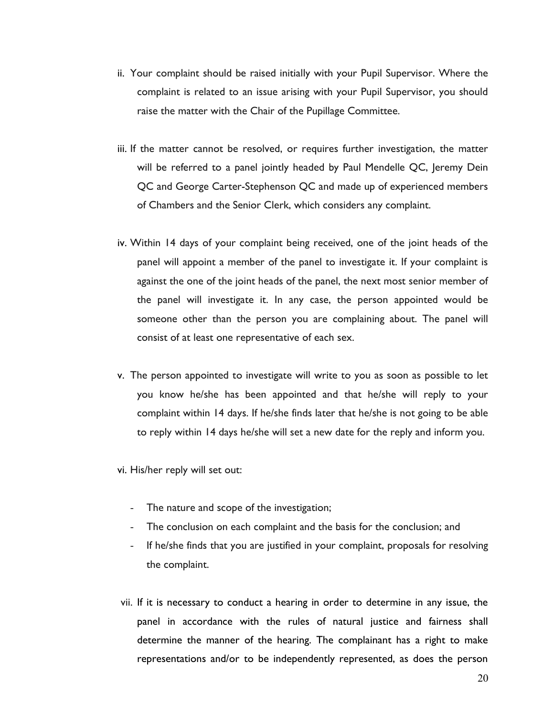- ii. Your complaint should be raised initially with your Pupil Supervisor. Where the complaint is related to an issue arising with your Pupil Supervisor, you should raise the matter with the Chair of the Pupillage Committee.
- iii. If the matter cannot be resolved, or requires further investigation, the matter will be referred to a panel jointly headed by Paul Mendelle QC, Jeremy Dein QC and George Carter-Stephenson QC and made up of experienced members of Chambers and the Senior Clerk, which considers any complaint.
- iv. Within 14 days of your complaint being received, one of the joint heads of the panel will appoint a member of the panel to investigate it. If your complaint is against the one of the joint heads of the panel, the next most senior member of the panel will investigate it. In any case, the person appointed would be someone other than the person you are complaining about. The panel will consist of at least one representative of each sex.
- v. The person appointed to investigate will write to you as soon as possible to let you know he/she has been appointed and that he/she will reply to your complaint within 14 days. If he/she finds later that he/she is not going to be able to reply within 14 days he/she will set a new date for the reply and inform you.
- vi. His/her reply will set out:
	- The nature and scope of the investigation;
	- The conclusion on each complaint and the basis for the conclusion; and
	- If he/she finds that you are justified in your complaint, proposals for resolving the complaint.
- vii. If it is necessary to conduct a hearing in order to determine in any issue, the panel in accordance with the rules of natural justice and fairness shall determine the manner of the hearing. The complainant has a right to make representations and/or to be independently represented, as does the person